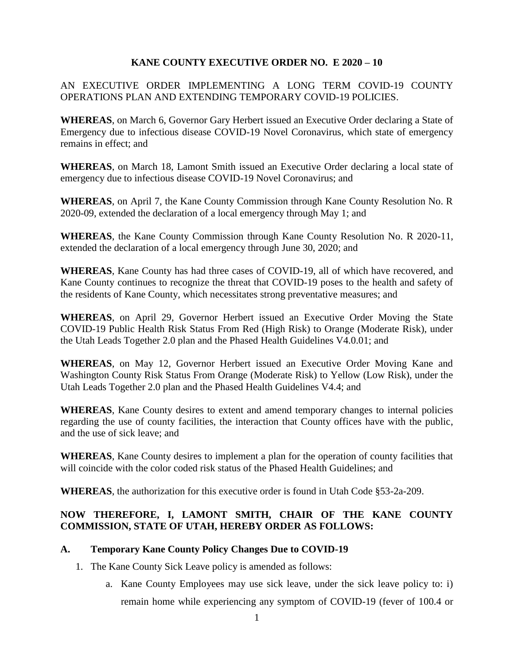### **KANE COUNTY EXECUTIVE ORDER NO. E 2020 – 10**

## AN EXECUTIVE ORDER IMPLEMENTING A LONG TERM COVID-19 COUNTY OPERATIONS PLAN AND EXTENDING TEMPORARY COVID-19 POLICIES.

**WHEREAS**, on March 6, Governor Gary Herbert issued an Executive Order declaring a State of Emergency due to infectious disease COVID-19 Novel Coronavirus, which state of emergency remains in effect; and

**WHEREAS**, on March 18, Lamont Smith issued an Executive Order declaring a local state of emergency due to infectious disease COVID-19 Novel Coronavirus; and

**WHEREAS**, on April 7, the Kane County Commission through Kane County Resolution No. R 2020-09, extended the declaration of a local emergency through May 1; and

**WHEREAS**, the Kane County Commission through Kane County Resolution No. R 2020-11, extended the declaration of a local emergency through June 30, 2020; and

**WHEREAS**, Kane County has had three cases of COVID-19, all of which have recovered, and Kane County continues to recognize the threat that COVID-19 poses to the health and safety of the residents of Kane County, which necessitates strong preventative measures; and

**WHEREAS**, on April 29, Governor Herbert issued an Executive Order Moving the State COVID-19 Public Health Risk Status From Red (High Risk) to Orange (Moderate Risk), under the Utah Leads Together 2.0 plan and the Phased Health Guidelines V4.0.01; and

**WHEREAS**, on May 12, Governor Herbert issued an Executive Order Moving Kane and Washington County Risk Status From Orange (Moderate Risk) to Yellow (Low Risk), under the Utah Leads Together 2.0 plan and the Phased Health Guidelines V4.4; and

**WHEREAS**, Kane County desires to extent and amend temporary changes to internal policies regarding the use of county facilities, the interaction that County offices have with the public, and the use of sick leave; and

**WHEREAS**, Kane County desires to implement a plan for the operation of county facilities that will coincide with the color coded risk status of the Phased Health Guidelines; and

**WHEREAS**, the authorization for this executive order is found in Utah Code §53-2a-209.

# **NOW THEREFORE, I, LAMONT SMITH, CHAIR OF THE KANE COUNTY COMMISSION, STATE OF UTAH, HEREBY ORDER AS FOLLOWS:**

## **A. Temporary Kane County Policy Changes Due to COVID-19**

- 1. The Kane County Sick Leave policy is amended as follows:
	- a. Kane County Employees may use sick leave, under the sick leave policy to: i) remain home while experiencing any symptom of COVID-19 (fever of 100.4 or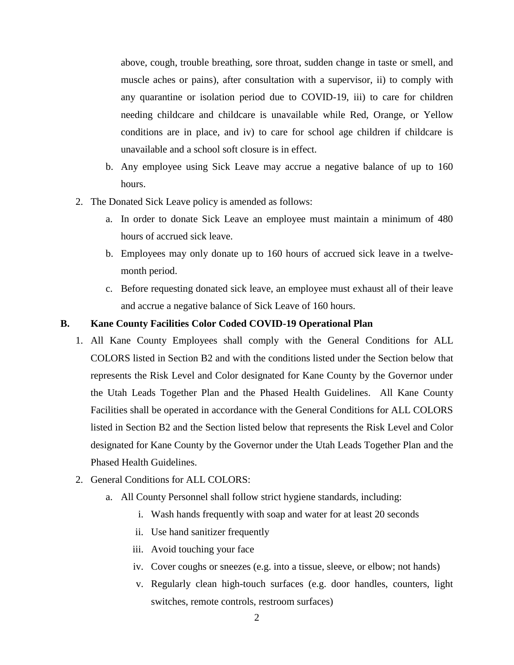above, cough, trouble breathing, sore throat, sudden change in taste or smell, and muscle aches or pains), after consultation with a supervisor, ii) to comply with any quarantine or isolation period due to COVID-19, iii) to care for children needing childcare and childcare is unavailable while Red, Orange, or Yellow conditions are in place, and iv) to care for school age children if childcare is unavailable and a school soft closure is in effect.

- b. Any employee using Sick Leave may accrue a negative balance of up to 160 hours.
- 2. The Donated Sick Leave policy is amended as follows:
	- a. In order to donate Sick Leave an employee must maintain a minimum of 480 hours of accrued sick leave.
	- b. Employees may only donate up to 160 hours of accrued sick leave in a twelvemonth period.
	- c. Before requesting donated sick leave, an employee must exhaust all of their leave and accrue a negative balance of Sick Leave of 160 hours.

#### **B. Kane County Facilities Color Coded COVID-19 Operational Plan**

- 1. All Kane County Employees shall comply with the General Conditions for ALL COLORS listed in Section B2 and with the conditions listed under the Section below that represents the Risk Level and Color designated for Kane County by the Governor under the Utah Leads Together Plan and the Phased Health Guidelines. All Kane County Facilities shall be operated in accordance with the General Conditions for ALL COLORS listed in Section B2 and the Section listed below that represents the Risk Level and Color designated for Kane County by the Governor under the Utah Leads Together Plan and the Phased Health Guidelines.
- 2. General Conditions for ALL COLORS:
	- a. All County Personnel shall follow strict hygiene standards, including:
		- i. Wash hands frequently with soap and water for at least 20 seconds
		- ii. Use hand sanitizer frequently
		- iii. Avoid touching your face
		- iv. Cover coughs or sneezes (e.g. into a tissue, sleeve, or elbow; not hands)
		- v. Regularly clean high-touch surfaces (e.g. door handles, counters, light switches, remote controls, restroom surfaces)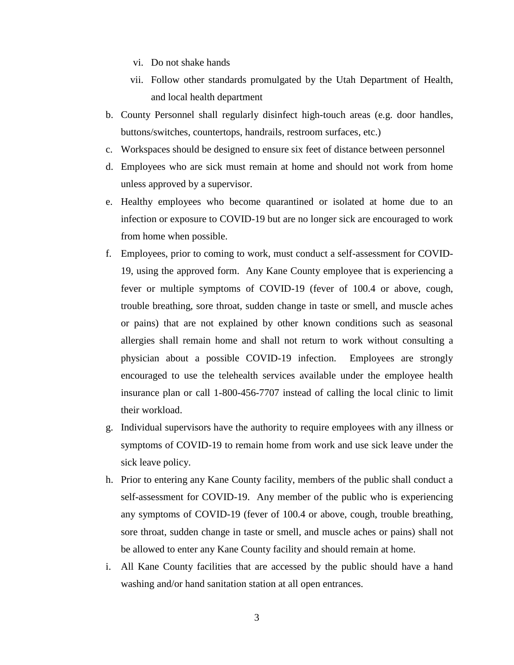- vi. Do not shake hands
- vii. Follow other standards promulgated by the Utah Department of Health, and local health department
- b. County Personnel shall regularly disinfect high-touch areas (e.g. door handles, buttons/switches, countertops, handrails, restroom surfaces, etc.)
- c. Workspaces should be designed to ensure six feet of distance between personnel
- d. Employees who are sick must remain at home and should not work from home unless approved by a supervisor.
- e. Healthy employees who become quarantined or isolated at home due to an infection or exposure to COVID-19 but are no longer sick are encouraged to work from home when possible.
- f. Employees, prior to coming to work, must conduct a self-assessment for COVID-19, using the approved form. Any Kane County employee that is experiencing a fever or multiple symptoms of COVID-19 (fever of 100.4 or above, cough, trouble breathing, sore throat, sudden change in taste or smell, and muscle aches or pains) that are not explained by other known conditions such as seasonal allergies shall remain home and shall not return to work without consulting a physician about a possible COVID-19 infection. Employees are strongly encouraged to use the telehealth services available under the employee health insurance plan or call 1-800-456-7707 instead of calling the local clinic to limit their workload.
- g. Individual supervisors have the authority to require employees with any illness or symptoms of COVID-19 to remain home from work and use sick leave under the sick leave policy.
- h. Prior to entering any Kane County facility, members of the public shall conduct a self-assessment for COVID-19. Any member of the public who is experiencing any symptoms of COVID-19 (fever of 100.4 or above, cough, trouble breathing, sore throat, sudden change in taste or smell, and muscle aches or pains) shall not be allowed to enter any Kane County facility and should remain at home.
- i. All Kane County facilities that are accessed by the public should have a hand washing and/or hand sanitation station at all open entrances.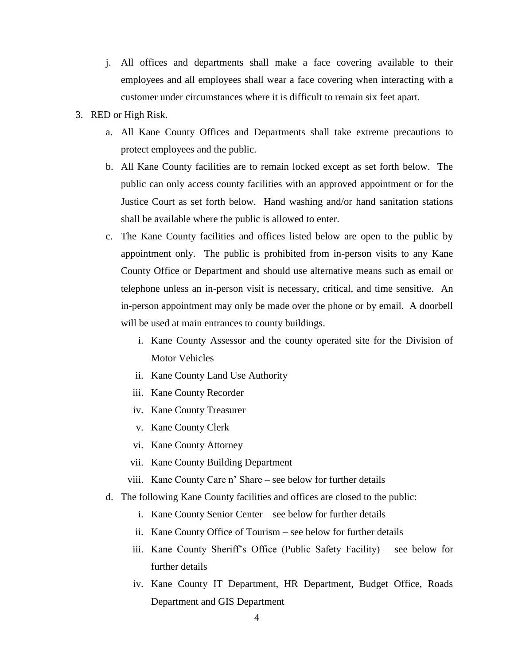- j. All offices and departments shall make a face covering available to their employees and all employees shall wear a face covering when interacting with a customer under circumstances where it is difficult to remain six feet apart.
- 3. RED or High Risk.
	- a. All Kane County Offices and Departments shall take extreme precautions to protect employees and the public.
	- b. All Kane County facilities are to remain locked except as set forth below. The public can only access county facilities with an approved appointment or for the Justice Court as set forth below. Hand washing and/or hand sanitation stations shall be available where the public is allowed to enter.
	- c. The Kane County facilities and offices listed below are open to the public by appointment only. The public is prohibited from in-person visits to any Kane County Office or Department and should use alternative means such as email or telephone unless an in-person visit is necessary, critical, and time sensitive. An in-person appointment may only be made over the phone or by email. A doorbell will be used at main entrances to county buildings.
		- i. Kane County Assessor and the county operated site for the Division of Motor Vehicles
		- ii. Kane County Land Use Authority
		- iii. Kane County Recorder
		- iv. Kane County Treasurer
		- v. Kane County Clerk
		- vi. Kane County Attorney
		- vii. Kane County Building Department
		- viii. Kane County Care n' Share see below for further details
	- d. The following Kane County facilities and offices are closed to the public:
		- i. Kane County Senior Center see below for further details
		- ii. Kane County Office of Tourism see below for further details
		- iii. Kane County Sheriff's Office (Public Safety Facility) see below for further details
		- iv. Kane County IT Department, HR Department, Budget Office, Roads Department and GIS Department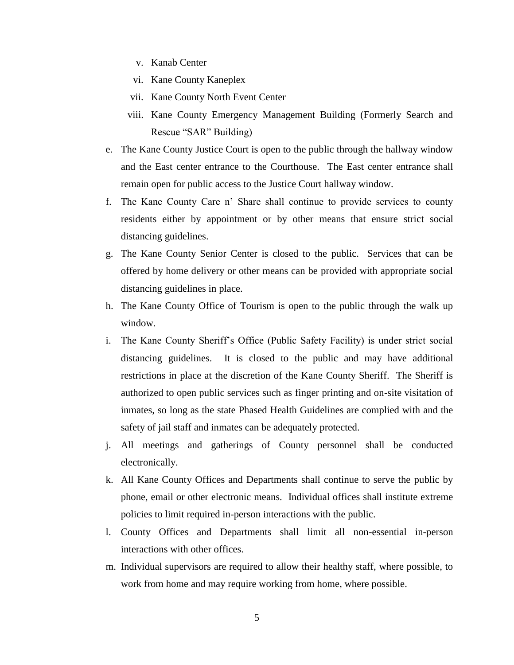- v. Kanab Center
- vi. Kane County Kaneplex
- vii. Kane County North Event Center
- viii. Kane County Emergency Management Building (Formerly Search and Rescue "SAR" Building)
- e. The Kane County Justice Court is open to the public through the hallway window and the East center entrance to the Courthouse. The East center entrance shall remain open for public access to the Justice Court hallway window.
- f. The Kane County Care n' Share shall continue to provide services to county residents either by appointment or by other means that ensure strict social distancing guidelines.
- g. The Kane County Senior Center is closed to the public. Services that can be offered by home delivery or other means can be provided with appropriate social distancing guidelines in place.
- h. The Kane County Office of Tourism is open to the public through the walk up window.
- i. The Kane County Sheriff's Office (Public Safety Facility) is under strict social distancing guidelines. It is closed to the public and may have additional restrictions in place at the discretion of the Kane County Sheriff. The Sheriff is authorized to open public services such as finger printing and on-site visitation of inmates, so long as the state Phased Health Guidelines are complied with and the safety of jail staff and inmates can be adequately protected.
- j. All meetings and gatherings of County personnel shall be conducted electronically.
- k. All Kane County Offices and Departments shall continue to serve the public by phone, email or other electronic means. Individual offices shall institute extreme policies to limit required in-person interactions with the public.
- l. County Offices and Departments shall limit all non-essential in-person interactions with other offices.
- m. Individual supervisors are required to allow their healthy staff, where possible, to work from home and may require working from home, where possible.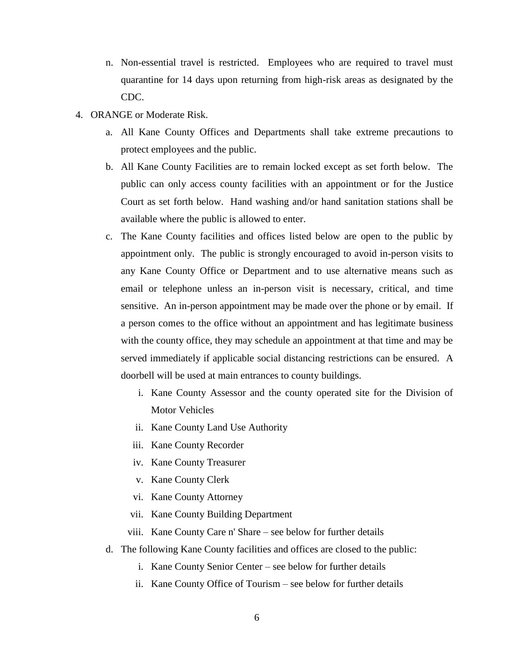- n. Non-essential travel is restricted. Employees who are required to travel must quarantine for 14 days upon returning from high-risk areas as designated by the CDC.
- 4. ORANGE or Moderate Risk.
	- a. All Kane County Offices and Departments shall take extreme precautions to protect employees and the public.
	- b. All Kane County Facilities are to remain locked except as set forth below. The public can only access county facilities with an appointment or for the Justice Court as set forth below. Hand washing and/or hand sanitation stations shall be available where the public is allowed to enter.
	- c. The Kane County facilities and offices listed below are open to the public by appointment only. The public is strongly encouraged to avoid in-person visits to any Kane County Office or Department and to use alternative means such as email or telephone unless an in-person visit is necessary, critical, and time sensitive. An in-person appointment may be made over the phone or by email. If a person comes to the office without an appointment and has legitimate business with the county office, they may schedule an appointment at that time and may be served immediately if applicable social distancing restrictions can be ensured. A doorbell will be used at main entrances to county buildings.
		- i. Kane County Assessor and the county operated site for the Division of Motor Vehicles
		- ii. Kane County Land Use Authority
		- iii. Kane County Recorder
		- iv. Kane County Treasurer
		- v. Kane County Clerk
		- vi. Kane County Attorney
		- vii. Kane County Building Department
		- viii. Kane County Care n' Share see below for further details
	- d. The following Kane County facilities and offices are closed to the public:
		- i. Kane County Senior Center see below for further details
		- ii. Kane County Office of Tourism see below for further details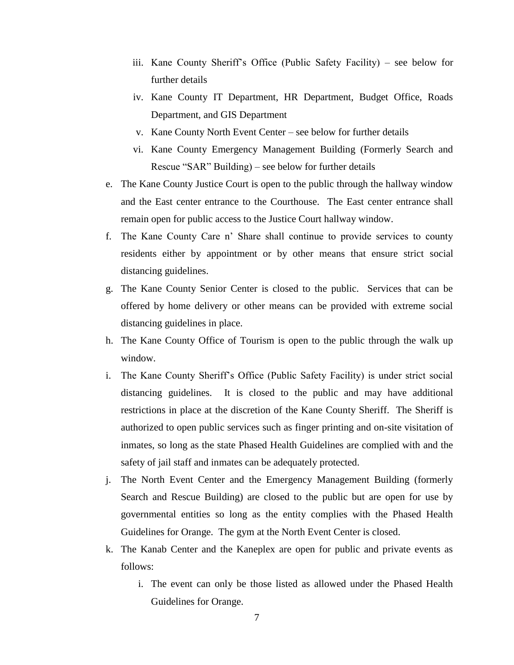- iii. Kane County Sheriff's Office (Public Safety Facility) see below for further details
- iv. Kane County IT Department, HR Department, Budget Office, Roads Department, and GIS Department
- v. Kane County North Event Center see below for further details
- vi. Kane County Emergency Management Building (Formerly Search and Rescue "SAR" Building) – see below for further details
- e. The Kane County Justice Court is open to the public through the hallway window and the East center entrance to the Courthouse. The East center entrance shall remain open for public access to the Justice Court hallway window.
- f. The Kane County Care n' Share shall continue to provide services to county residents either by appointment or by other means that ensure strict social distancing guidelines.
- g. The Kane County Senior Center is closed to the public. Services that can be offered by home delivery or other means can be provided with extreme social distancing guidelines in place.
- h. The Kane County Office of Tourism is open to the public through the walk up window.
- i. The Kane County Sheriff's Office (Public Safety Facility) is under strict social distancing guidelines. It is closed to the public and may have additional restrictions in place at the discretion of the Kane County Sheriff. The Sheriff is authorized to open public services such as finger printing and on-site visitation of inmates, so long as the state Phased Health Guidelines are complied with and the safety of jail staff and inmates can be adequately protected.
- j. The North Event Center and the Emergency Management Building (formerly Search and Rescue Building) are closed to the public but are open for use by governmental entities so long as the entity complies with the Phased Health Guidelines for Orange. The gym at the North Event Center is closed.
- k. The Kanab Center and the Kaneplex are open for public and private events as follows:
	- i. The event can only be those listed as allowed under the Phased Health Guidelines for Orange.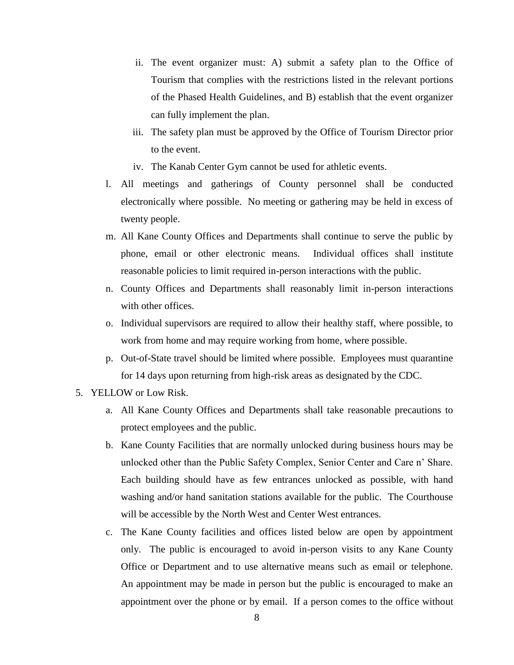- ii. The event organizer must: A) submit a safety plan to the Office of Tourism that complies with the restrictions listed in the relevant portions of the Phased Health Guidelines, and B) establish that the event organizer can fully implement the plan.
- iii. The safety plan must be approved by the Office of Tourism Director prior to the event.
- iv. The Kanab Center Gym cannot be used for athletic events.
- l. All meetings and gatherings of County personnel shall be conducted electronically where possible. No meeting or gathering may be held in excess of twenty people.
- m. All Kane County Offices and Departments shall continue to serve the public by phone, email or other electronic means. Individual offices shall institute reasonable policies to limit required in-person interactions with the public.
- n. County Offices and Departments shall reasonably limit in-person interactions with other offices.
- o. Individual supervisors are required to allow their healthy staff, where possible, to work from home and may require working from home, where possible.
- p. Out-of-State travel should be limited where possible. Employees must quarantine for 14 days upon returning from high-risk areas as designated by the CDC.
- 5. YELLOW or Low Risk.
	- a. All Kane County Offices and Departments shall take reasonable precautions to protect employees and the public.
	- b. Kane County Facilities that are normally unlocked during business hours may be unlocked other than the Public Safety Complex, Senior Center and Care n' Share. Each building should have as few entrances unlocked as possible, with hand washing and/or hand sanitation stations available for the public. The Courthouse will be accessible by the North West and Center West entrances.
	- c. The Kane County facilities and offices listed below are open by appointment only. The public is encouraged to avoid in-person visits to any Kane County Office or Department and to use alternative means such as email or telephone. An appointment may be made in person but the public is encouraged to make an appointment over the phone or by email. If a person comes to the office without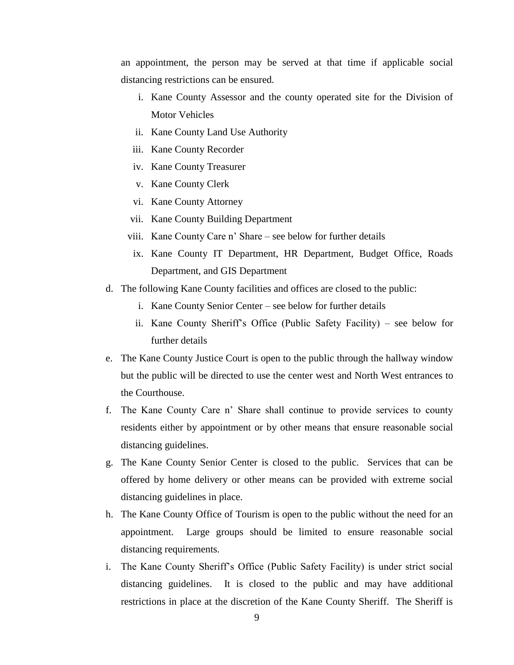an appointment, the person may be served at that time if applicable social distancing restrictions can be ensured.

- i. Kane County Assessor and the county operated site for the Division of Motor Vehicles
- ii. Kane County Land Use Authority
- iii. Kane County Recorder
- iv. Kane County Treasurer
- v. Kane County Clerk
- vi. Kane County Attorney
- vii. Kane County Building Department
- viii. Kane County Care n' Share see below for further details
- ix. Kane County IT Department, HR Department, Budget Office, Roads Department, and GIS Department
- d. The following Kane County facilities and offices are closed to the public:
	- i. Kane County Senior Center see below for further details
	- ii. Kane County Sheriff's Office (Public Safety Facility) see below for further details
- e. The Kane County Justice Court is open to the public through the hallway window but the public will be directed to use the center west and North West entrances to the Courthouse.
- f. The Kane County Care n' Share shall continue to provide services to county residents either by appointment or by other means that ensure reasonable social distancing guidelines.
- g. The Kane County Senior Center is closed to the public. Services that can be offered by home delivery or other means can be provided with extreme social distancing guidelines in place.
- h. The Kane County Office of Tourism is open to the public without the need for an appointment. Large groups should be limited to ensure reasonable social distancing requirements.
- i. The Kane County Sheriff's Office (Public Safety Facility) is under strict social distancing guidelines. It is closed to the public and may have additional restrictions in place at the discretion of the Kane County Sheriff. The Sheriff is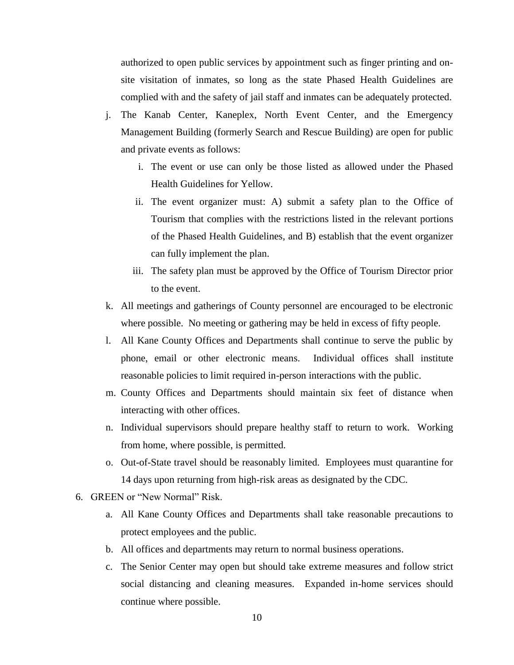authorized to open public services by appointment such as finger printing and onsite visitation of inmates, so long as the state Phased Health Guidelines are complied with and the safety of jail staff and inmates can be adequately protected.

- j. The Kanab Center, Kaneplex, North Event Center, and the Emergency Management Building (formerly Search and Rescue Building) are open for public and private events as follows:
	- i. The event or use can only be those listed as allowed under the Phased Health Guidelines for Yellow.
	- ii. The event organizer must: A) submit a safety plan to the Office of Tourism that complies with the restrictions listed in the relevant portions of the Phased Health Guidelines, and B) establish that the event organizer can fully implement the plan.
	- iii. The safety plan must be approved by the Office of Tourism Director prior to the event.
- k. All meetings and gatherings of County personnel are encouraged to be electronic where possible. No meeting or gathering may be held in excess of fifty people.
- l. All Kane County Offices and Departments shall continue to serve the public by phone, email or other electronic means. Individual offices shall institute reasonable policies to limit required in-person interactions with the public.
- m. County Offices and Departments should maintain six feet of distance when interacting with other offices.
- n. Individual supervisors should prepare healthy staff to return to work. Working from home, where possible, is permitted.
- o. Out-of-State travel should be reasonably limited. Employees must quarantine for 14 days upon returning from high-risk areas as designated by the CDC.
- 6. GREEN or "New Normal" Risk.
	- a. All Kane County Offices and Departments shall take reasonable precautions to protect employees and the public.
	- b. All offices and departments may return to normal business operations.
	- c. The Senior Center may open but should take extreme measures and follow strict social distancing and cleaning measures. Expanded in-home services should continue where possible.